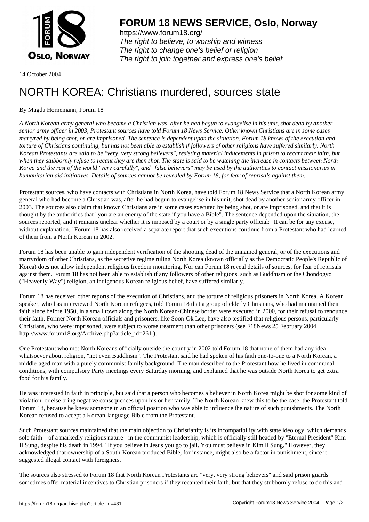

https://www.forum18.org/ The right to believe, to worship and witness The right to change one's belief or religion [The right to join together a](https://www.forum18.org/)nd express one's belief

14 October 2004

## [NORTH KOREA](https://www.forum18.org): Christians murdered, sources state

## By Magda Hornemann, Forum 18

*A North Korean army general who become a Christian was, after he had begun to evangelise in his unit, shot dead by another senior army officer in 2003, Protestant sources have told Forum 18 News Service. Other known Christians are in some cases martyred by being shot, or are imprisoned. The sentence is dependent upon the situation. Forum 18 knows of the execution and torture of Christians continuing, but has not been able to establish if followers of other religions have suffered similarly. North Korean Protestants are said to be "very, very strong believers", resisting material inducements in prison to recant their faith, but when they stubbornly refuse to recant they are then shot. The state is said to be watching the increase in contacts between North Korea and the rest of the world "very carefully", and "false believers" may be used by the authorities to contact missionaries in humanitarian aid initiatives. Details of sources cannot be revealed by Forum 18, for fear of reprisals against them.*

Protestant sources, who have contacts with Christians in North Korea, have told Forum 18 News Service that a North Korean army general who had become a Christian was, after he had begun to evangelise in his unit, shot dead by another senior army officer in 2003. The sources also claim that known Christians are in some cases executed by being shot, or are imprisoned, and that it is thought by the authorities that "you are an enemy of the state if you have a Bible". The sentence depended upon the situation, the sources reported, and it remains unclear whether it is imposed by a court or by a single party official: "It can be for any excuse, without explanation." Forum 18 has also received a separate report that such executions continue from a Protestant who had learned of them from a North Korean in 2002.

Forum 18 has been unable to gain independent verification of the shooting dead of the unnamed general, or of the executions and martyrdom of other Christians, as the secretive regime ruling North Korea (known officially as the Democratic People's Republic of Korea) does not allow independent religious freedom monitoring. Nor can Forum 18 reveal details of sources, for fear of reprisals against them. Forum 18 has not been able to establish if any followers of other religions, such as Buddhism or the Chondogyo ("Heavenly Way") religion, an indigenous Korean religious belief, have suffered similarly.

Forum 18 has received other reports of the execution of Christians, and the torture of religious prisoners in North Korea. A Korean speaker, who has interviewed North Korean refugees, told Forum 18 that a group of elderly Christians, who had maintained their faith since before 1950, in a small town along the North Korean-Chinese border were executed in 2000, for their refusal to renounce their faith. Former North Korean officials and prisoners, like Soon-Ok Lee, have also testified that religious persons, particularly Christians, who were imprisoned, were subject to worse treatment than other prisoners (see F18News 25 February 2004 http://www.forum18.org/Archive.php?article\_id=261 ).

One Protestant who met North Koreans officially outside the country in 2002 told Forum 18 that none of them had any idea whatsoever about religion, "not even Buddhism". The Protestant said he had spoken of his faith one-to-one to a North Korean, a middle-aged man with a purely communist family background. The man described to the Protestant how he lived in communal conditions, with compulsory Party meetings every Saturday morning, and explained that he was outside North Korea to get extra food for his family.

He was interested in faith in principle, but said that a person who becomes a believer in North Korea might be shot for some kind of violation, or else bring negative consequences upon his or her family. The North Korean knew this to be the case, the Protestant told Forum 18, because he knew someone in an official position who was able to influence the nature of such punishments. The North Korean refused to accept a Korean-language Bible from the Protestant.

Such Protestant sources maintained that the main objection to Christianity is its incompatibility with state ideology, which demands sole faith – of a markedly religious nature - in the communist leadership, which is officially still headed by "Eternal President" Kim Il Sung, despite his death in 1994. "If you believe in Jesus you go to jail. You must believe in Kim Il Sung." However, they acknowledged that ownership of a South-Korean produced Bible, for instance, might also be a factor in punishment, since it suggested illegal contact with foreigners.

The sources also stressed to Forum 18 that North Korean Protestants are "very, very strong believers" and said prison guards sometimes offer material incentives to Christian prisoners if they recanted their faith, but that they stubbornly refuse to do this and